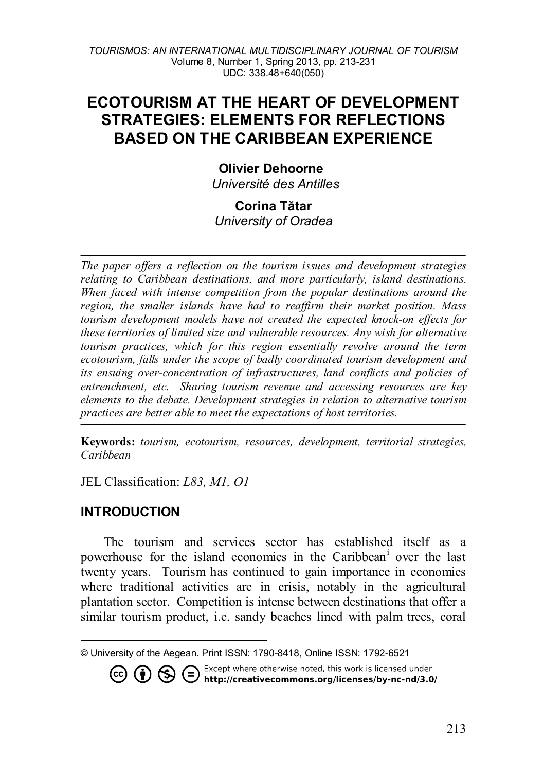# **ECOTOURISM AT THE HEART OF DEVELOPMENT STRATEGIES: ELEMENTS FOR REFLECTIONS BASED ON THE CARIBBEAN EXPERIENCE**

## **Olivier Dehoorne**

*Université des Antilles*

#### **Corina Tătar** *University of Oradea*

*The paper offers a reflection on the tourism issues and development strategies relating to Caribbean destinations, and more particularly, island destinations. When faced with intense competition from the popular destinations around the region, the smaller islands have had to reaffirm their market position. Mass tourism development models have not created the expected knock-on effects for these territories of limited size and vulnerable resources. Any wish for alternative tourism practices, which for this region essentially revolve around the term ecotourism, falls under the scope of badly coordinated tourism development and its ensuing over-concentration of infrastructures, land conflicts and policies of entrenchment, etc. Sharing tourism revenue and accessing resources are key elements to the debate. Development strategies in relation to alternative tourism practices are better able to meet the expectations of host territories.* 

**Keywords:** *tourism, ecotourism, resources, development, territorial strategies, Caribbean*

JEL Classification: *L83, M1, O1*

## **INTRODUCTION**

The tourism and services sector has established itself as a powerhouse for the island economies in the Caribbean[i](#page-9-0) over the last twenty years. Tourism has continued to gain importance in economies where traditional activities are in crisis, notably in the agricultural plantation sector. Competition is intense between destinations that offer a similar tourism product, i.e. sandy beaches lined with palm trees, coral

<span id="page-0-0"></span> $\overline{a}$ © University of the Aegean. Print ISSN: 1790-8418, Online ISSN: 1792-6521

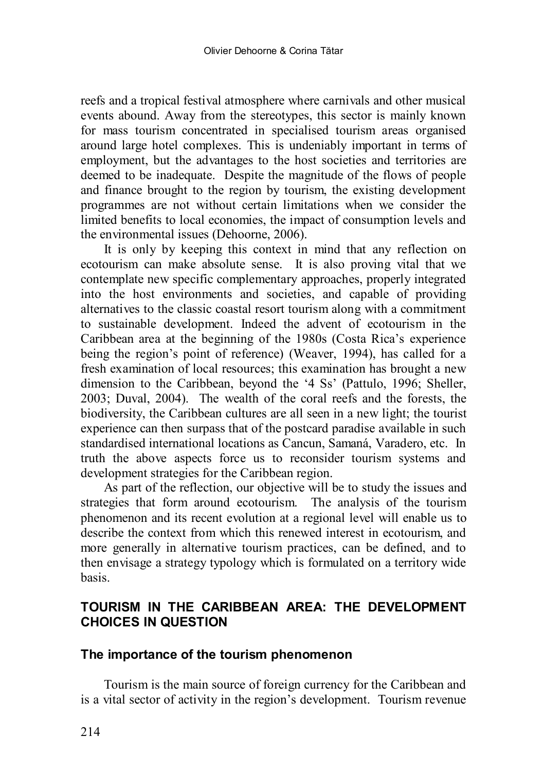reefs and a tropical festival atmosphere where carnivals and other musical events abound. Away from the stereotypes, this sector is mainly known for mass tourism concentrated in specialised tourism areas organised around large hotel complexes. This is undeniably important in terms of employment, but the advantages to the host societies and territories are deemed to be inadequate. Despite the magnitude of the flows of people and finance brought to the region by tourism, the existing development programmes are not without certain limitations when we consider the limited benefits to local economies, the impact of consumption levels and the environmental issues (Dehoorne, 2006).

It is only by keeping this context in mind that any reflection on ecotourism can make absolute sense. It is also proving vital that we contemplate new specific complementary approaches, properly integrated into the host environments and societies, and capable of providing alternatives to the classic coastal resort tourism along with a commitment to sustainable development. Indeed the advent of ecotourism in the Caribbean area at the beginning of the 1980s (Costa Rica's experience being the region's point of reference) (Weaver, 1994), has called for a fresh examination of local resources; this examination has brought a new dimension to the Caribbean, beyond the '4 Ss' (Pattulo, 1996; Sheller, 2003; Duval, 2004). The wealth of the coral reefs and the forests, the biodiversity, the Caribbean cultures are all seen in a new light; the tourist experience can then surpass that of the postcard paradise available in such standardised international locations as Cancun, Samaná, Varadero, etc. In truth the above aspects force us to reconsider tourism systems and development strategies for the Caribbean region.

As part of the reflection, our objective will be to study the issues and strategies that form around ecotourism. The analysis of the tourism phenomenon and its recent evolution at a regional level will enable us to describe the context from which this renewed interest in ecotourism, and more generally in alternative tourism practices, can be defined, and to then envisage a strategy typology which is formulated on a territory wide basis.

## **TOURISM IN THE CARIBBEAN AREA: THE DEVELOPMENT CHOICES IN QUESTION**

#### **The importance of the tourism phenomenon**

Tourism is the main source of foreign currency for the Caribbean and is a vital sector of activity in the region's development. Tourism revenue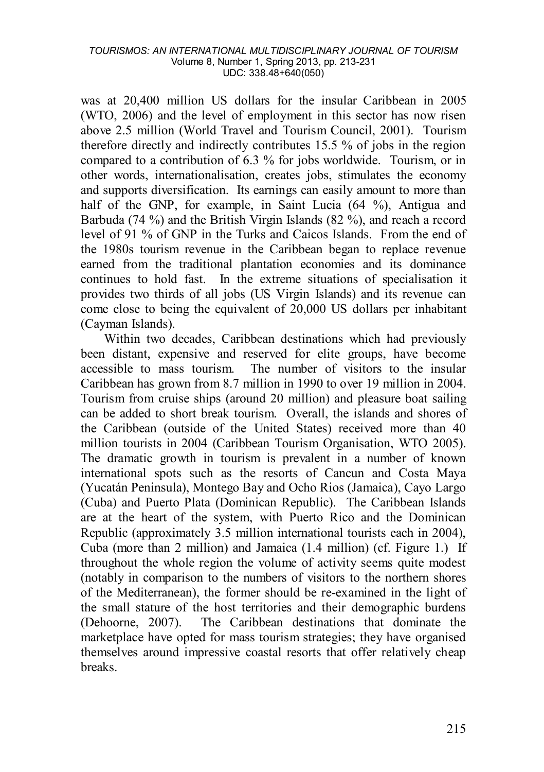was at 20,400 million US dollars for the insular Caribbean in 2005 (WTO, 2006) and the level of employment in this sector has now risen above 2.5 million (World Travel and Tourism Council, 2001). Tourism therefore directly and indirectly contributes 15.5 % of jobs in the region compared to a contribution of 6.3 % for jobs worldwide. Tourism, or in other words, internationalisation, creates jobs, stimulates the economy and supports diversification. Its earnings can easily amount to more than half of the GNP, for example, in Saint Lucia (64 %), Antigua and Barbuda (74 %) and the British Virgin Islands (82 %), and reach a record level of 91 % of GNP in the Turks and Caicos Islands. From the end of the 1980s tourism revenue in the Caribbean began to replace revenue earned from the traditional plantation economies and its dominance continues to hold fast. In the extreme situations of specialisation it provides two thirds of all jobs (US Virgin Islands) and its revenue can come close to being the equivalent of 20,000 US dollars per inhabitant (Cayman Islands).

Within two decades, Caribbean destinations which had previously been distant, expensive and reserved for elite groups, have become accessible to mass tourism. The number of visitors to the insular Caribbean has grown from 8.7 million in 1990 to over 19 million in 2004. Tourism from cruise ships (around 20 million) and pleasure boat sailing can be added to short break tourism. Overall, the islands and shores of the Caribbean (outside of the United States) received more than 40 million tourists in 2004 (Caribbean Tourism Organisation, WTO 2005). The dramatic growth in tourism is prevalent in a number of known international spots such as the resorts of Cancun and Costa Maya (Yucatán Peninsula), Montego Bay and Ocho Rios (Jamaica), Cayo Largo (Cuba) and Puerto Plata (Dominican Republic). The Caribbean Islands are at the heart of the system, with Puerto Rico and the Dominican Republic (approximately 3.5 million international tourists each in 2004), Cuba (more than 2 million) and Jamaica (1.4 million) (cf. Figure 1.) If throughout the whole region the volume of activity seems quite modest (notably in comparison to the numbers of visitors to the northern shores of the Mediterranean), the former should be re-examined in the light of the small stature of the host territories and their demographic burdens (Dehoorne, 2007). The Caribbean destinations that dominate the marketplace have opted for mass tourism strategies; they have organised themselves around impressive coastal resorts that offer relatively cheap breaks.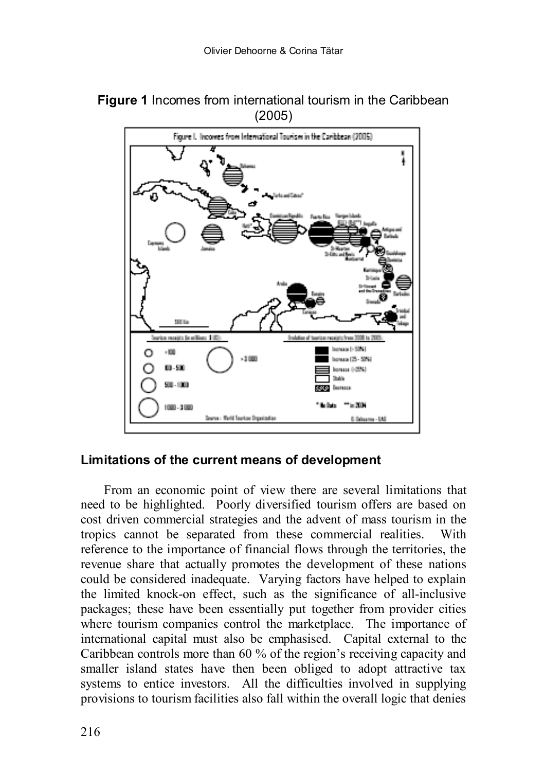

0.0 degrees - EA

## **Figure 1** Incomes from international tourism in the Caribbean (2005)

#### **Limitations of the current means of development**

Source : Markt Taurkon Organization

From an economic point of view there are several limitations that need to be highlighted. Poorly diversified tourism offers are based on cost driven commercial strategies and the advent of mass tourism in the tropics cannot be separated from these commercial realities. With reference to the importance of financial flows through the territories, the revenue share that actually promotes the development of these nations could be considered inadequate. Varying factors have helped to explain the limited knock-on effect, such as the significance of all-inclusive packages; these have been essentially put together from provider cities where tourism companies control the marketplace. The importance of international capital must also be emphasised. Capital external to the Caribbean controls more than 60 % of the region's receiving capacity and smaller island states have then been obliged to adopt attractive tax systems to entice investors. All the difficulties involved in supplying provisions to tourism facilities also fall within the overall logic that denies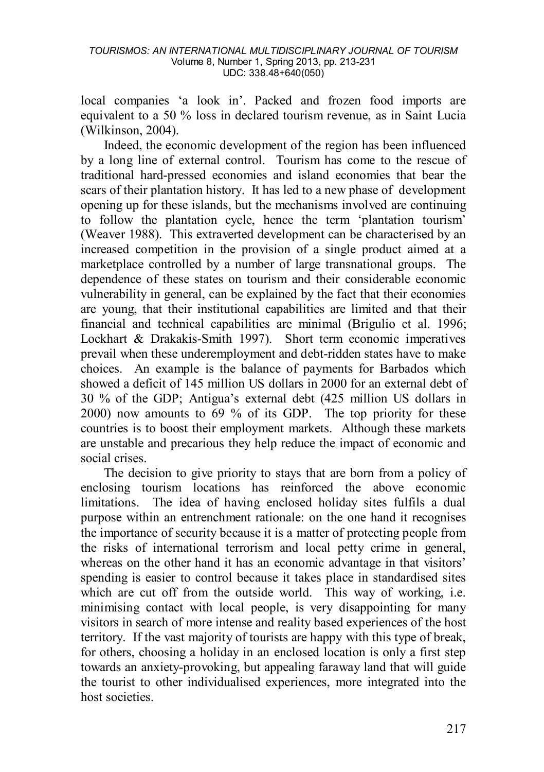local companies 'a look in'. Packed and frozen food imports are equivalent to a 50 % loss in declared tourism revenue, as in Saint Lucia (Wilkinson, 2004).

Indeed, the economic development of the region has been influenced by a long line of external control. Tourism has come to the rescue of traditional hard-pressed economies and island economies that bear the scars of their plantation history. It has led to a new phase of development opening up for these islands, but the mechanisms involved are continuing to follow the plantation cycle, hence the term 'plantation tourism' (Weaver 1988). This extraverted development can be characterised by an increased competition in the provision of a single product aimed at a marketplace controlled by a number of large transnational groups. The dependence of these states on tourism and their considerable economic vulnerability in general, can be explained by the fact that their economies are young, that their institutional capabilities are limited and that their financial and technical capabilities are minimal (Brigulio et al. 1996; Lockhart & Drakakis-Smith 1997). Short term economic imperatives prevail when these underemployment and debt-ridden states have to make choices. An example is the balance of payments for Barbados which showed a deficit of 145 million US dollars in 2000 for an external debt of 30 % of the GDP; Antigua's external debt (425 million US dollars in 2000) now amounts to 69 % of its GDP. The top priority for these countries is to boost their employment markets. Although these markets are unstable and precarious they help reduce the impact of economic and social crises.

The decision to give priority to stays that are born from a policy of enclosing tourism locations has reinforced the above economic limitations. The idea of having enclosed holiday sites fulfils a dual purpose within an entrenchment rationale: on the one hand it recognises the importance of security because it is a matter of protecting people from the risks of international terrorism and local petty crime in general, whereas on the other hand it has an economic advantage in that visitors' spending is easier to control because it takes place in standardised sites which are cut off from the outside world. This way of working, i.e. minimising contact with local people, is very disappointing for many visitors in search of more intense and reality based experiences of the host territory. If the vast majority of tourists are happy with this type of break, for others, choosing a holiday in an enclosed location is only a first step towards an anxiety-provoking, but appealing faraway land that will guide the tourist to other individualised experiences, more integrated into the host societies.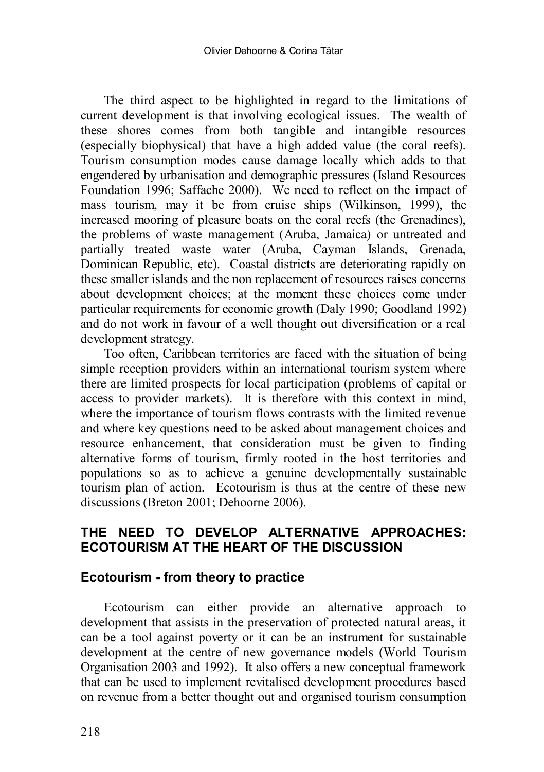The third aspect to be highlighted in regard to the limitations of current development is that involving ecological issues. The wealth of these shores comes from both tangible and intangible resources (especially biophysical) that have a high added value (the coral reefs). Tourism consumption modes cause damage locally which adds to that engendered by urbanisation and demographic pressures (Island Resources Foundation 1996; Saffache 2000). We need to reflect on the impact of mass tourism, may it be from cruise ships (Wilkinson, 1999), the increased mooring of pleasure boats on the coral reefs (the Grenadines), the problems of waste management (Aruba, Jamaica) or untreated and partially treated waste water (Aruba, Cayman Islands, Grenada, Dominican Republic, etc). Coastal districts are deteriorating rapidly on these smaller islands and the non replacement of resources raises concerns about development choices; at the moment these choices come under particular requirements for economic growth (Daly 1990; Goodland 1992) and do not work in favour of a well thought out diversification or a real development strategy.

Too often, Caribbean territories are faced with the situation of being simple reception providers within an international tourism system where there are limited prospects for local participation (problems of capital or access to provider markets). It is therefore with this context in mind, where the importance of tourism flows contrasts with the limited revenue and where key questions need to be asked about management choices and resource enhancement, that consideration must be given to finding alternative forms of tourism, firmly rooted in the host territories and populations so as to achieve a genuine developmentally sustainable tourism plan of action. Ecotourism is thus at the centre of these new discussions (Breton 2001; Dehoorne 2006).

### **THE NEED TO DEVELOP ALTERNATIVE APPROACHES: ECOTOURISM AT THE HEART OF THE DISCUSSION**

#### **Ecotourism - from theory to practice**

Ecotourism can either provide an alternative approach to development that assists in the preservation of protected natural areas, it can be a tool against poverty or it can be an instrument for sustainable development at the centre of new governance models (World Tourism Organisation 2003 and 1992). It also offers a new conceptual framework that can be used to implement revitalised development procedures based on revenue from a better thought out and organised tourism consumption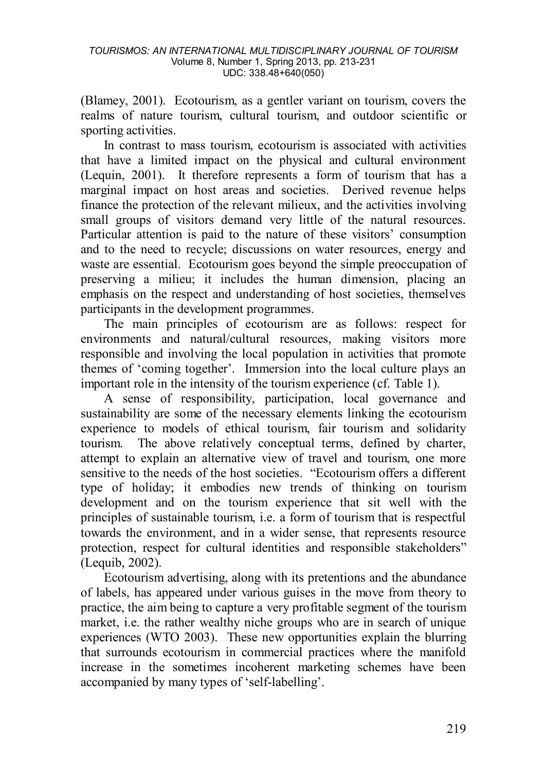(Blamey, 2001). Ecotourism, as a gentler variant on tourism, covers the realms of nature tourism, cultural tourism, and outdoor scientific or sporting activities.

In contrast to mass tourism, ecotourism is associated with activities that have a limited impact on the physical and cultural environment (Lequin, 2001). It therefore represents a form of tourism that has a marginal impact on host areas and societies. Derived revenue helps finance the protection of the relevant milieux, and the activities involving small groups of visitors demand very little of the natural resources. Particular attention is paid to the nature of these visitors' consumption and to the need to recycle; discussions on water resources, energy and waste are essential. Ecotourism goes beyond the simple preoccupation of preserving a milieu; it includes the human dimension, placing an emphasis on the respect and understanding of host societies, themselves participants in the development programmes.

The main principles of ecotourism are as follows: respect for environments and natural/cultural resources, making visitors more responsible and involving the local population in activities that promote themes of 'coming together'. Immersion into the local culture plays an important role in the intensity of the tourism experience (cf. Table 1).

A sense of responsibility, participation, local governance and sustainability are some of the necessary elements linking the ecotourism experience to models of ethical tourism, fair tourism and solidarity tourism. The above relatively conceptual terms, defined by charter, attempt to explain an alternative view of travel and tourism, one more sensitive to the needs of the host societies. "Ecotourism offers a different type of holiday; it embodies new trends of thinking on tourism development and on the tourism experience that sit well with the principles of sustainable tourism, i.e. a form of tourism that is respectful towards the environment, and in a wider sense, that represents resource protection, respect for cultural identities and responsible stakeholders" (Lequib, 2002).

Ecotourism advertising, along with its pretentions and the abundance of labels, has appeared under various guises in the move from theory to practice, the aim being to capture a very profitable segment of the tourism market, i.e. the rather wealthy niche groups who are in search of unique experiences (WTO 2003). These new opportunities explain the blurring that surrounds ecotourism in commercial practices where the manifold increase in the sometimes incoherent marketing schemes have been accompanied by many types of 'self-labelling'.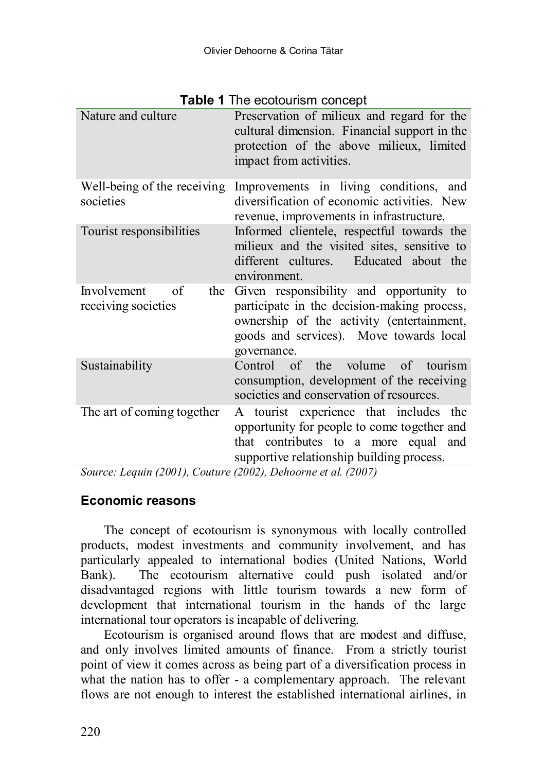| <b>I ADIE I</b> THE ECOLOGIISHI CONCEDI         |                                                                                                                                                                                               |  |  |  |  |  |
|-------------------------------------------------|-----------------------------------------------------------------------------------------------------------------------------------------------------------------------------------------------|--|--|--|--|--|
| Nature and culture                              | Preservation of milieux and regard for the<br>cultural dimension. Financial support in the<br>protection of the above milieux, limited<br>impact from activities.                             |  |  |  |  |  |
| Well-being of the receiving<br>societies        | Improvements in living conditions, and<br>diversification of economic activities. New<br>revenue, improvements in infrastructure.                                                             |  |  |  |  |  |
| Tourist responsibilities                        | Informed clientele, respectful towards the<br>milieux and the visited sites, sensitive to<br>different cultures. Educated about the<br>environment.                                           |  |  |  |  |  |
| Involvement<br>of<br>the<br>receiving societies | Given responsibility and opportunity to<br>participate in the decision-making process,<br>ownership of the activity (entertainment,<br>goods and services). Move towards local<br>governance. |  |  |  |  |  |
| Sustainability                                  | Control<br>of the volume<br>tourism<br>$\alpha$ f<br>consumption, development of the receiving<br>societies and conservation of resources.                                                    |  |  |  |  |  |
| The art of coming together                      | A tourist experience that includes the<br>opportunity for people to come together and<br>that contributes to a more equal and<br>supportive relationship building process.                    |  |  |  |  |  |

## **Table 1** The ecotourism concept

*Source: Lequin (2001), Couture (2002), Dehoorne et al. (2007)* 

#### **Economic reasons**

The concept of ecotourism is synonymous with locally controlled products, modest investments and community involvement, and has particularly appealed to international bodies (United Nations, World Bank). The ecotourism alternative could push isolated and/or disadvantaged regions with little tourism towards a new form of development that international tourism in the hands of the large international tour operators is incapable of delivering.

Ecotourism is organised around flows that are modest and diffuse, and only involves limited amounts of finance. From a strictly tourist point of view it comes across as being part of a diversification process in what the nation has to offer - a complementary approach. The relevant flows are not enough to interest the established international airlines, in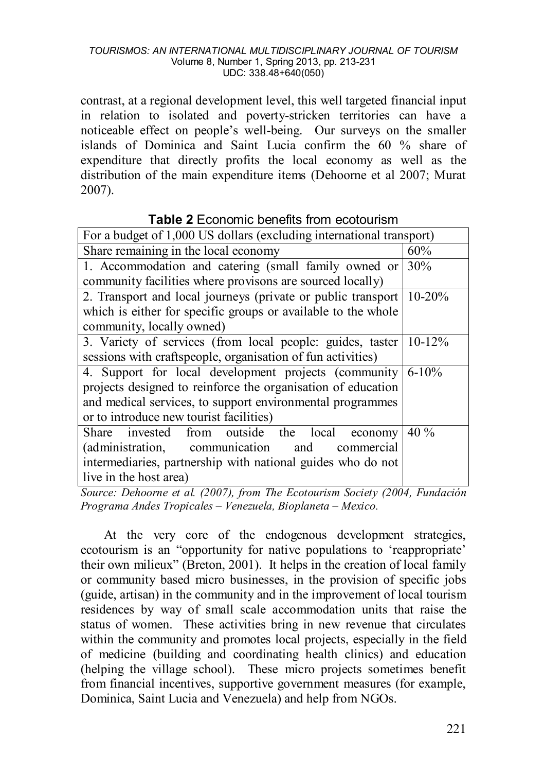contrast, at a regional development level, this well targeted financial input in relation to isolated and poverty-stricken territories can have a noticeable effect on people's well-being. Our surveys on the smaller islands of Dominica and Saint Lucia confirm the 60 % share of expenditure that directly profits the local economy as well as the distribution of the main expenditure items (Dehoorne et al 2007; Murat 2007).

| For a budget of 1,000 US dollars (excluding international transport) |            |  |  |  |
|----------------------------------------------------------------------|------------|--|--|--|
| Share remaining in the local economy                                 | 60%        |  |  |  |
| 1. Accommodation and catering (small family owned or                 | 30%        |  |  |  |
| community facilities where provisons are sourced locally)            |            |  |  |  |
| 2. Transport and local journeys (private or public transport)        | $10 - 20%$ |  |  |  |
| which is either for specific groups or available to the whole        |            |  |  |  |
| community, locally owned)                                            |            |  |  |  |
| 3. Variety of services (from local people: guides, taster 10-12%     |            |  |  |  |
| sessions with craftspeople, organisation of fun activities)          |            |  |  |  |
| 4. Support for local development projects (community)                | $6 - 10\%$ |  |  |  |
| projects designed to reinforce the organisation of education         |            |  |  |  |
| and medical services, to support environmental programmes            |            |  |  |  |
| or to introduce new tourist facilities)                              |            |  |  |  |
| from outside the local<br>Share invested<br>economy                  | 40 %       |  |  |  |
| (administration, communication<br>and<br>commercial                  |            |  |  |  |
| intermediaries, partnership with national guides who do not          |            |  |  |  |
| live in the host area)                                               |            |  |  |  |

## **Table 2** Economic benefits from ecotourism

*Source: Dehoorne et al. (2007), from The Ecotourism Society (2004, Fundación Programa Andes Tropicales – Venezuela, Bioplaneta – Mexico.*

At the very core of the endogenous development strategies, ecotourism is an "opportunity for native populations to 'reappropriate' their own milieux" (Breton, 2001). It helps in the creation of local family or community based micro businesses, in the provision of specific jobs (guide, artisan) in the community and in the improvement of local tourism residences by way of small scale accommodation units that raise the status of women. These activities bring in new revenue that circulates within the community and promotes local projects, especially in the field of medicine (building and coordinating health clinics) and education (helping the village school). These micro projects sometimes benefit from financial incentives, supportive government measures (for example, Dominica, Saint Lucia and Venezuela) and help from NGOs.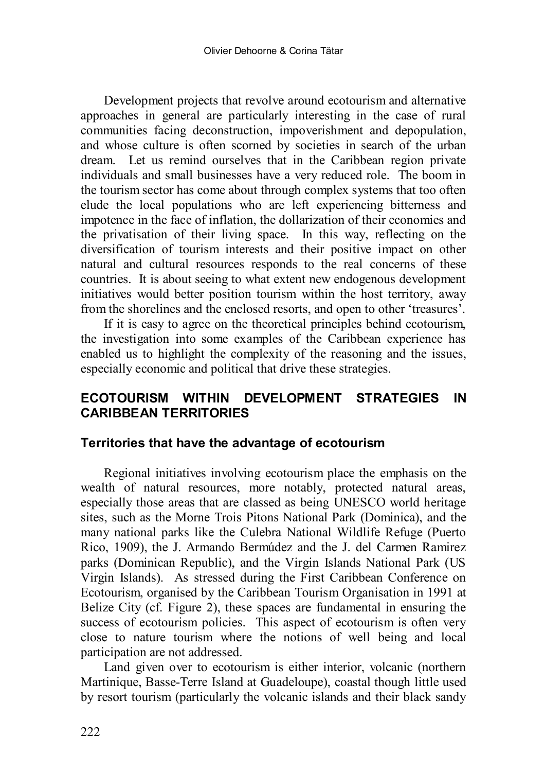Development projects that revolve around ecotourism and alternative approaches in general are particularly interesting in the case of rural communities facing deconstruction, impoverishment and depopulation, and whose culture is often scorned by societies in search of the urban dream. Let us remind ourselves that in the Caribbean region private individuals and small businesses have a very reduced role. The boom in the tourism sector has come about through complex systems that too often elude the local populations who are left experiencing bitterness and impotence in the face of inflation, the dollarization of their economies and the privatisation of their living space. In this way, reflecting on the diversification of tourism interests and their positive impact on other natural and cultural resources responds to the real concerns of these countries. It is about seeing to what extent new endogenous development initiatives would better position tourism within the host territory, away from the shorelines and the enclosed resorts, and open to other 'treasures'.

<span id="page-9-0"></span>If it is easy to agree on the theoretical principles behind ecotourism, the investigation into some examples of the Caribbean experience has enabled us to highlight the complexity of the reasoning and the issues, especially economic and political that drive these strategies.

## **ECOTOURISM WITHIN DEVELOPMENT STRATEGIES IN CARIBBEAN TERRITORIES**

#### **Territories that have the advantage of ecotourism**

Regional initiatives involving ecotourism place the emphasis on the wealth of natural resources, more notably, protected natural areas, especially those areas that are classed as being UNESCO world heritage sites, such as the Morne Trois Pitons National Park (Dominica), and the many national parks like the Culebra National Wildlife Refuge (Puerto Rico, 1909), the J. Armando Bermúdez and the J. del Carmen Ramirez parks (Dominican Republic), and the Virgin Islands National Park (US Virgin Islands). As stressed during the First Caribbean Conference on Ecotourism, organised by the Caribbean Tourism Organisation in 1991 at Belize City (cf. Figure 2), these spaces are fundamental in ensuring the success of ecotourism policies. This aspect of ecotourism is often very close to nature tourism where the notions of well being and local participation are not addressed.

Land given over to ecotourism is either interior, volcanic (northern Martinique, Basse-Terre Island at Guadeloupe), coastal though little used by resort tourism (particularly the volcanic islands and their black sandy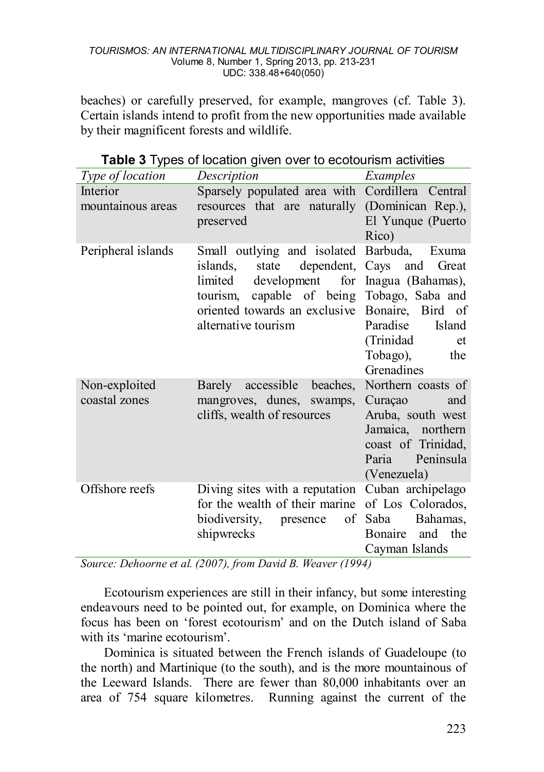beaches) or carefully preserved, for example, mangroves (cf. Table 3). Certain islands intend to profit from the new opportunities made available by their magnificent forests and wildlife.

| ◢                              | $\cdot$                                                                                                                                                                                                                       |                                                                                                                  |
|--------------------------------|-------------------------------------------------------------------------------------------------------------------------------------------------------------------------------------------------------------------------------|------------------------------------------------------------------------------------------------------------------|
| Type of location               | <i>Description</i>                                                                                                                                                                                                            | Examples                                                                                                         |
| Interior<br>mountainous areas  | Sparsely populated area with Cordillera Central<br>resources that are naturally (Dominican Rep.),<br>preserved                                                                                                                | El Yunque (Puerto<br>Rico)                                                                                       |
| Peripheral islands             | Small outlying and isolated Barbuda, Exuma<br>islands.<br>development for Inagua (Bahamas),<br>limited<br>tourism, capable of being Tobago, Saba and<br>oriented towards an exclusive Bonaire, Bird of<br>alternative tourism | state dependent, Cays and Great<br>Paradise<br>Island<br>(Trinidad<br>et<br>Tobago),<br>the<br>Grenadines        |
| Non-exploited<br>coastal zones | Barely accessible beaches, Northern coasts of<br>mangroves, dunes, swamps,<br>cliffs, wealth of resources                                                                                                                     | Curação<br>and<br>Aruba, south west<br>Jamaica, northern<br>coast of Trinidad,<br>Paria Peninsula<br>(Venezuela) |
| Offshore reefs                 | Diving sites with a reputation Cuban archipelago<br>for the wealth of their marine of Los Colorados,<br>biodiversity, presence of<br>shipwrecks                                                                               | Saba<br>Bahamas,<br>Bonaire and the<br>Cayman Islands                                                            |

| Table 3 Types of location given over to ecotourism activities |  |  |  |  |  |
|---------------------------------------------------------------|--|--|--|--|--|
|---------------------------------------------------------------|--|--|--|--|--|

*Source: Dehoorne et al. (2007), from David B. Weaver (1994)* 

Ecotourism experiences are still in their infancy, but some interesting endeavours need to be pointed out, for example, on Dominica where the focus has been on 'forest ecotourism' and on the Dutch island of Saba with its 'marine ecotourism'.

Dominica is situated between the French islands of Guadeloupe (to the north) and Martinique (to the south), and is the more mountainous of the Leeward Islands. There are fewer than 80,000 inhabitants over an area of 754 square kilometres. Running against the current of the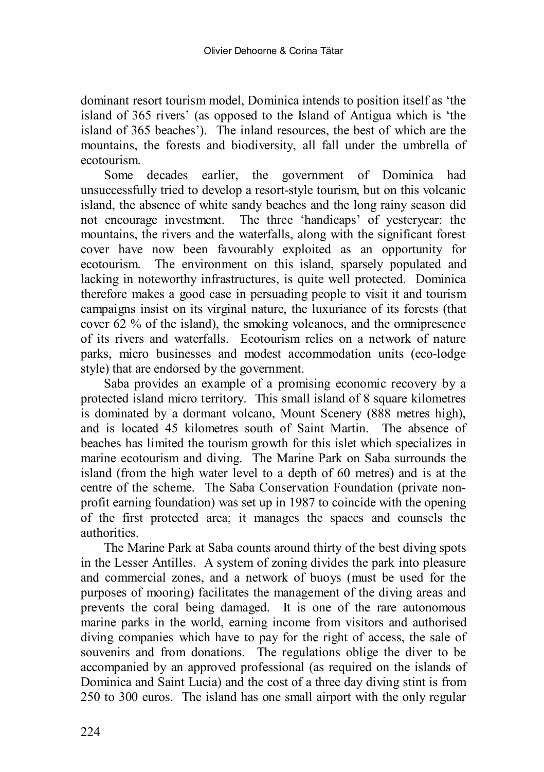dominant resort tourism model, Dominica intends to position itself as 'the island of 365 rivers' (as opposed to the Island of Antigua which is 'the island of 365 beaches'). The inland resources, the best of which are the mountains, the forests and biodiversity, all fall under the umbrella of ecotourism.

Some decades earlier, the government of Dominica had unsuccessfully tried to develop a resort-style tourism, but on this volcanic island, the absence of white sandy beaches and the long rainy season did not encourage investment. The three 'handicaps' of yesteryear: the mountains, the rivers and the waterfalls, along with the significant forest cover have now been favourably exploited as an opportunity for ecotourism. The environment on this island, sparsely populated and lacking in noteworthy infrastructures, is quite well protected. Dominica therefore makes a good case in persuading people to visit it and tourism campaigns insist on its virginal nature, the luxuriance of its forests (that cover 62 % of the island), the smoking volcanoes, and the omnipresence of its rivers and waterfalls. Ecotourism relies on a network of nature parks, micro businesses and modest accommodation units (eco-lodge style) that are endorsed by the government.

Saba provides an example of a promising economic recovery by a protected island micro territory. This small island of 8 square kilometres is dominated by a dormant volcano, Mount Scenery (888 metres high), and is located 45 kilometres south of Saint Martin. The absence of beaches has limited the tourism growth for this islet which specializes in marine ecotourism and diving. The Marine Park on Saba surrounds the island (from the high water level to a depth of 60 metres) and is at the centre of the scheme. The Saba Conservation Foundation (private nonprofit earning foundation) was set up in 1987 to coincide with the opening of the first protected area; it manages the spaces and counsels the authorities.

The Marine Park at Saba counts around thirty of the best diving spots in the Lesser Antilles. A system of zoning divides the park into pleasure and commercial zones, and a network of buoys (must be used for the purposes of mooring) facilitates the management of the diving areas and prevents the coral being damaged. It is one of the rare autonomous marine parks in the world, earning income from visitors and authorised diving companies which have to pay for the right of access, the sale of souvenirs and from donations. The regulations oblige the diver to be accompanied by an approved professional (as required on the islands of Dominica and Saint Lucia) and the cost of a three day diving stint is from 250 to 300 euros. The island has one small airport with the only regular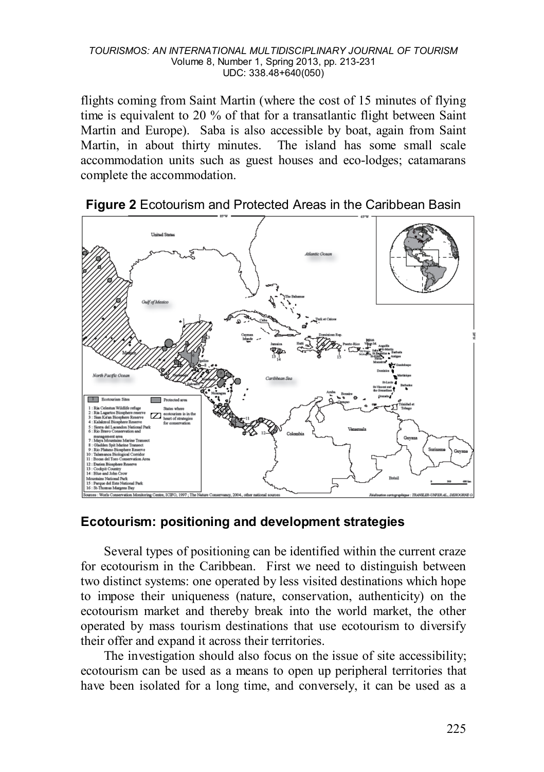flights coming from Saint Martin (where the cost of 15 minutes of flying time is equivalent to 20 % of that for a transatlantic flight between Saint Martin and Europe). Saba is also accessible by boat, again from Saint Martin, in about thirty minutes. The island has some small scale accommodation units such as guest houses and eco-lodges; catamarans complete the accommodation.



**Figure 2** Ecotourism and Protected Areas in the Caribbean Basin

## **Ecotourism: positioning and development strategies**

Several types of positioning can be identified within the current craze for ecotourism in the Caribbean. First we need to distinguish between two distinct systems: one operated by less visited destinations which hope to impose their uniqueness (nature, conservation, authenticity) on the ecotourism market and thereby break into the world market, the other operated by mass tourism destinations that use ecotourism to diversify their offer and expand it across their territories.

The investigation should also focus on the issue of site accessibility; ecotourism can be used as a means to open up peripheral territories that have been isolated for a long time, and conversely, it can be used as a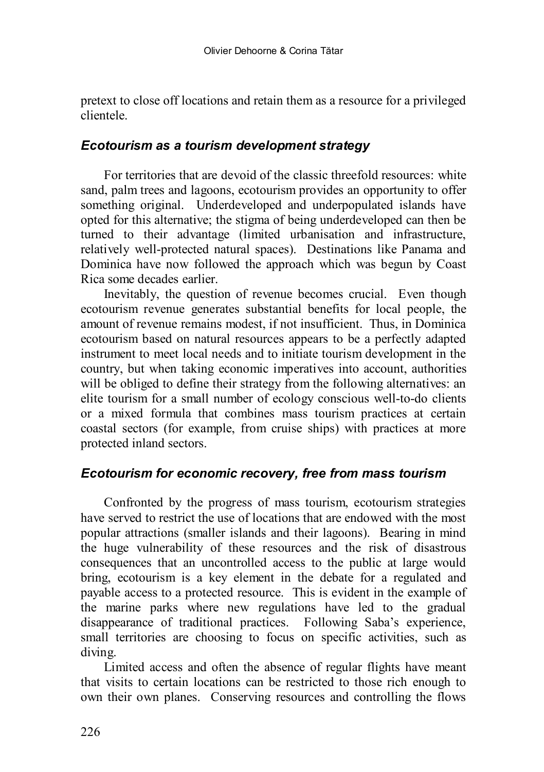pretext to close off locations and retain them as a resource for a privileged clientele.

### *Ecotourism as a tourism development strategy*

For territories that are devoid of the classic threefold resources: white sand, palm trees and lagoons, ecotourism provides an opportunity to offer something original. Underdeveloped and underpopulated islands have opted for this alternative; the stigma of being underdeveloped can then be turned to their advantage (limited urbanisation and infrastructure, relatively well-protected natural spaces). Destinations like Panama and Dominica have now followed the approach which was begun by Coast Rica some decades earlier.

Inevitably, the question of revenue becomes crucial. Even though ecotourism revenue generates substantial benefits for local people, the amount of revenue remains modest, if not insufficient. Thus, in Dominica ecotourism based on natural resources appears to be a perfectly adapted instrument to meet local needs and to initiate tourism development in the country, but when taking economic imperatives into account, authorities will be obliged to define their strategy from the following alternatives: an elite tourism for a small number of ecology conscious well-to-do clients or a mixed formula that combines mass tourism practices at certain coastal sectors (for example, from cruise ships) with practices at more protected inland sectors.

## *Ecotourism for economic recovery, free from mass tourism*

Confronted by the progress of mass tourism, ecotourism strategies have served to restrict the use of locations that are endowed with the most popular attractions (smaller islands and their lagoons). Bearing in mind the huge vulnerability of these resources and the risk of disastrous consequences that an uncontrolled access to the public at large would bring, ecotourism is a key element in the debate for a regulated and payable access to a protected resource. This is evident in the example of the marine parks where new regulations have led to the gradual disappearance of traditional practices. Following Saba's experience, small territories are choosing to focus on specific activities, such as diving.

Limited access and often the absence of regular flights have meant that visits to certain locations can be restricted to those rich enough to own their own planes. Conserving resources and controlling the flows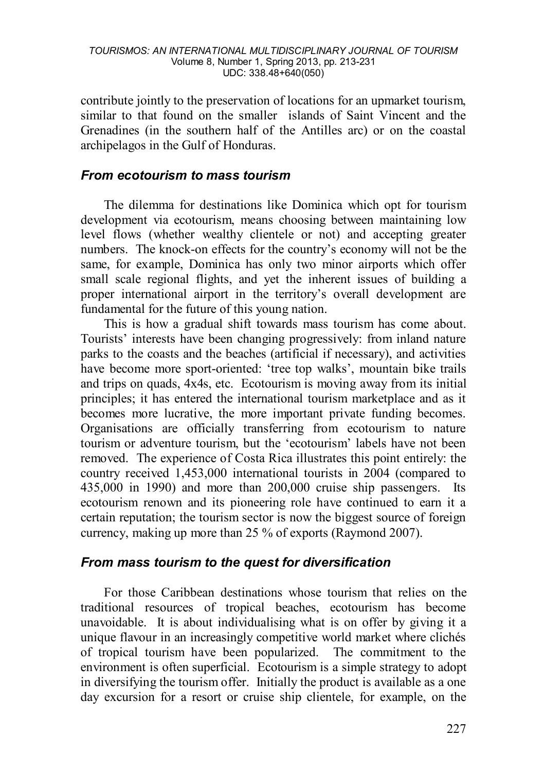contribute jointly to the preservation of locations for an upmarket tourism, similar to that found on the smaller islands of Saint Vincent and the Grenadines (in the southern half of the Antilles arc) or on the coastal archipelagos in the Gulf of Honduras.

### *From ecotourism to mass tourism*

The dilemma for destinations like Dominica which opt for tourism development via ecotourism, means choosing between maintaining low level flows (whether wealthy clientele or not) and accepting greater numbers. The knock-on effects for the country's economy will not be the same, for example, Dominica has only two minor airports which offer small scale regional flights, and yet the inherent issues of building a proper international airport in the territory's overall development are fundamental for the future of this young nation.

This is how a gradual shift towards mass tourism has come about. Tourists' interests have been changing progressively: from inland nature parks to the coasts and the beaches (artificial if necessary), and activities have become more sport-oriented: 'tree top walks', mountain bike trails and trips on quads, 4x4s, etc. Ecotourism is moving away from its initial principles; it has entered the international tourism marketplace and as it becomes more lucrative, the more important private funding becomes. Organisations are officially transferring from ecotourism to nature tourism or adventure tourism, but the 'ecotourism' labels have not been removed. The experience of Costa Rica illustrates this point entirely: the country received 1,453,000 international tourists in 2004 (compared to 435,000 in 1990) and more than 200,000 cruise ship passengers. Its ecotourism renown and its pioneering role have continued to earn it a certain reputation; the tourism sector is now the biggest source of foreign currency, making up more than 25 % of exports (Raymond 2007).

## *From mass tourism to the quest for diversification*

For those Caribbean destinations whose tourism that relies on the traditional resources of tropical beaches, ecotourism has become unavoidable. It is about individualising what is on offer by giving it a unique flavour in an increasingly competitive world market where clichés of tropical tourism have been popularized. The commitment to the environment is often superficial. Ecotourism is a simple strategy to adopt in diversifying the tourism offer. Initially the product is available as a one day excursion for a resort or cruise ship clientele, for example, on the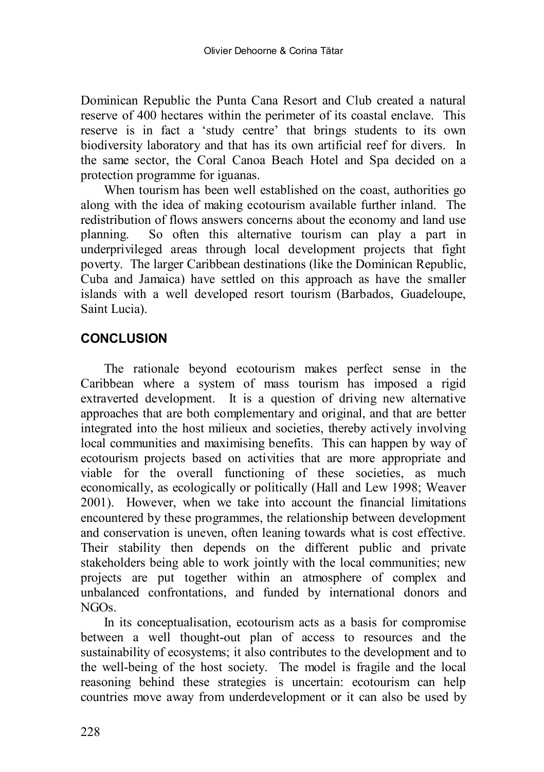Dominican Republic the Punta Cana Resort and Club created a natural reserve of 400 hectares within the perimeter of its coastal enclave. This reserve is in fact a 'study centre' that brings students to its own biodiversity laboratory and that has its own artificial reef for divers. In the same sector, the Coral Canoa Beach Hotel and Spa decided on a protection programme for iguanas.

When tourism has been well established on the coast, authorities go along with the idea of making ecotourism available further inland. The redistribution of flows answers concerns about the economy and land use planning. So often this alternative tourism can play a part in underprivileged areas through local development projects that fight poverty. The larger Caribbean destinations (like the Dominican Republic, Cuba and Jamaica) have settled on this approach as have the smaller islands with a well developed resort tourism (Barbados, Guadeloupe, Saint Lucia).

## **CONCLUSION**

The rationale beyond ecotourism makes perfect sense in the Caribbean where a system of mass tourism has imposed a rigid extraverted development. It is a question of driving new alternative approaches that are both complementary and original, and that are better integrated into the host milieux and societies, thereby actively involving local communities and maximising benefits. This can happen by way of ecotourism projects based on activities that are more appropriate and viable for the overall functioning of these societies, as much economically, as ecologically or politically (Hall and Lew 1998; Weaver 2001). However, when we take into account the financial limitations encountered by these programmes, the relationship between development and conservation is uneven, often leaning towards what is cost effective. Their stability then depends on the different public and private stakeholders being able to work jointly with the local communities; new projects are put together within an atmosphere of complex and unbalanced confrontations, and funded by international donors and NGOs.

In its conceptualisation, ecotourism acts as a basis for compromise between a well thought-out plan of access to resources and the sustainability of ecosystems; it also contributes to the development and to the well-being of the host society. The model is fragile and the local reasoning behind these strategies is uncertain: ecotourism can help countries move away from underdevelopment or it can also be used by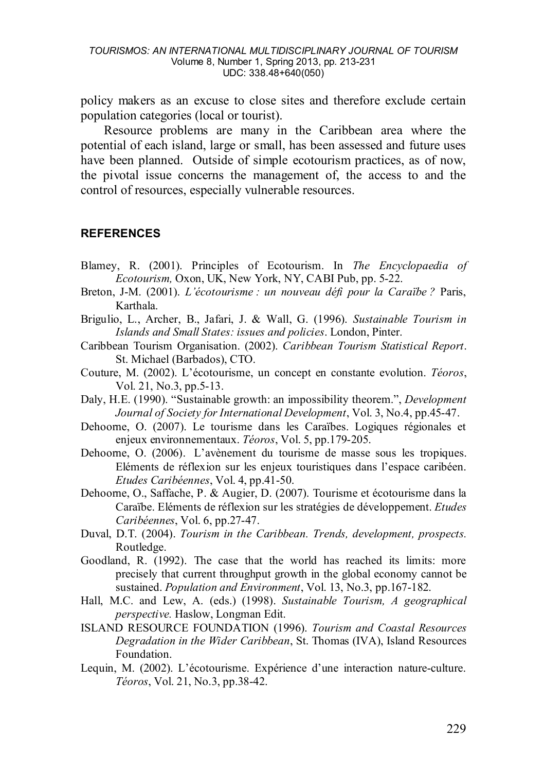policy makers as an excuse to close sites and therefore exclude certain population categories (local or tourist).

Resource problems are many in the Caribbean area where the potential of each island, large or small, has been assessed and future uses have been planned. Outside of simple ecotourism practices, as of now, the pivotal issue concerns the management of, the access to and the control of resources, especially vulnerable resources.

#### **REFERENCES**

- Blamey, R. (2001). Principles of Ecotourism. In *The Encyclopaedia of Ecotourism,* Oxon, UK, New York, NY, CABI Pub, pp. 5-22.
- Breton, J-M. (2001). *L'écotourisme : un nouveau défi pour la Caraïbe ?* Paris, Karthala.
- Brigulio, L., Archer, B., Jafari, J. & Wall, G. (1996). *Sustainable Tourism in Islands and Small States: issues and policies*. London, Pinter.
- Caribbean Tourism Organisation. (2002). *Caribbean Tourism Statistical Report*. St. Michael (Barbados), CTO.
- Couture, M. (2002). L'écotourisme, un concept en constante evolution. *Téoros*, Vol. 21, No.3, pp.5-13.
- Daly, H.E. (1990). "Sustainable growth: an impossibility theorem.", *Development Journal of Society for International Development*, Vol. 3, No.4, pp.45-47.
- Dehoorne, O. (2007). Le tourisme dans les Caraïbes. Logiques régionales et enjeux environnementaux. *Téoros*, Vol. 5, pp.179-205.
- Dehoorne, O. (2006). L'avènement du tourisme de masse sous les tropiques. Eléments de réflexion sur les enjeux touristiques dans l'espace caribéen. *Etudes Caribéennes*, Vol. 4, pp.41-50.
- Dehoorne, O., Saffache, P. & Augier, D. (2007). Tourisme et écotourisme dans la Caraïbe. Eléments de réflexion sur les stratégies de développement. *Etudes Caribéennes*, Vol. 6, pp.27-47.
- Duval, D.T. (2004). *Tourism in the Caribbean. Trends, development, prospects.* Routledge.
- Goodland, R. (1992). The case that the world has reached its limits: more precisely that current throughput growth in the global economy cannot be sustained. *Population and Environment*, Vol. 13, No.3, pp.167-182.
- Hall, M.C. and Lew, A. (eds.) (1998). *Sustainable Tourism, A geographical perspective.* Haslow, Longman Edit.
- ISLAND RESOURCE FOUNDATION (1996). *Tourism and Coastal Resources Degradation in the Wider Caribbean*, St. Thomas (IVA), Island Resources Foundation.
- Lequin, M. (2002). L'écotourisme. Expérience d'une interaction nature-culture. *Téoros*, Vol. 21, No.3, pp.38-42.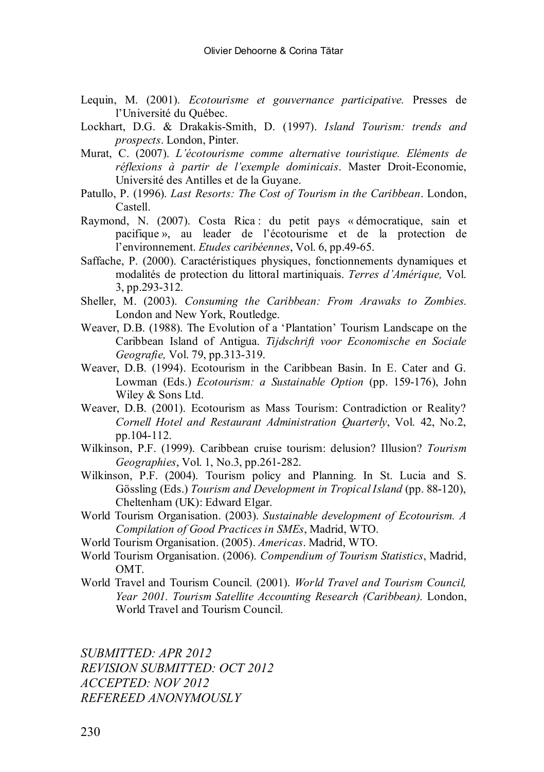- Lequin, M. (2001). *Ecotourisme et gouvernance participative.* Presses de l'Université du Québec.
- Lockhart, D.G. & Drakakis-Smith, D. (1997). *Island Tourism: trends and prospects*. London, Pinter.
- Murat, C. (2007). *L'écotourisme comme alternative touristique. Eléments de réflexions à partir de l'exemple dominicais*. Master Droit-Economie, Université des Antilles et de la Guyane.
- Patullo, P. (1996). *Last Resorts: The Cost of Tourism in the Caribbean*. London, Castell.
- Raymond, N. (2007). Costa Rica : du petit pays « démocratique, sain et pacifique », au leader de l'écotourisme et de la protection de l'environnement. *Etudes caribéennes*, Vol. 6, pp.49-65.
- Saffache, P. (2000). Caractéristiques physiques, fonctionnements dynamiques et modalités de protection du littoral martiniquais. *Terres d'Amérique,* Vol. 3, pp.293-312.
- Sheller, M. (2003). *Consuming the Caribbean: From Arawaks to Zombies.* London and New York, Routledge.
- Weaver, D.B. (1988). The Evolution of a 'Plantation' Tourism Landscape on the Caribbean Island of Antigua. *Tijdschrift voor Economische en Sociale Geografie,* Vol. 79, pp.313-319.
- Weaver, D.B. (1994). Ecotourism in the Caribbean Basin. In E. Cater and G. Lowman (Eds.) *Ecotourism: a Sustainable Option* (pp. 159-176), John Wiley & Sons Ltd.
- Weaver, D.B. (2001). Ecotourism as Mass Tourism: Contradiction or Reality? *Cornell Hotel and Restaurant Administration Quarterly*, Vol. 42, No.2, pp.104-112.
- Wilkinson, P.F. (1999). Caribbean cruise tourism: delusion? Illusion? *Tourism Geographies*, Vol. 1, No.3, pp.261-282.
- Wilkinson, P.F. (2004). Tourism policy and Planning. In St. Lucia and S. Gössling (Eds.) *Tourism and Development in Tropical Island* (pp. 88-120), Cheltenham (UK): Edward Elgar.
- World Tourism Organisation. (2003). *Sustainable development of Ecotourism. A Compilation of Good Practices in SMEs*, Madrid, WTO.
- World Tourism Organisation. (2005). *Americas*. Madrid, WTO.
- World Tourism Organisation. (2006). *Compendium of Tourism Statistics*, Madrid, OMT.
- World Travel and Tourism Council. (2001). *World Travel and Tourism Council, Year 2001. Tourism Satellite Accounting Research (Caribbean).* London, World Travel and Tourism Council.

*SUBMITTED: APR 2012 REVISION SUBMITTED: OCT 2012 ACCEPTED: NOV 2012 REFEREED ANONYMOUSLY*